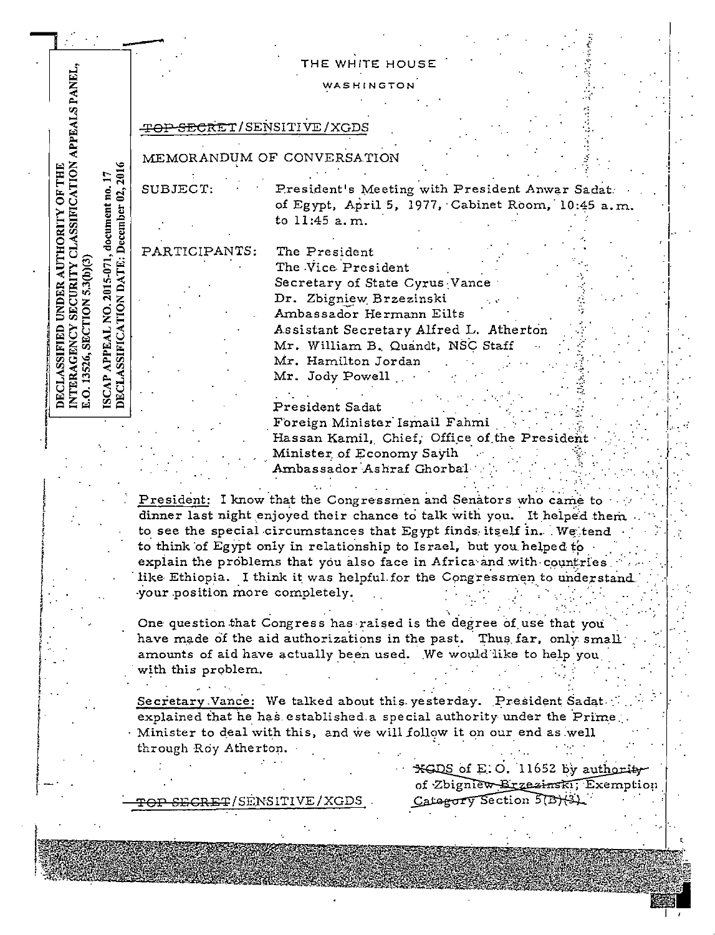| THE WHITE HOUSE |  |  |
|-----------------|--|--|
|-----------------|--|--|

WASHINGTON

# TOP SECRET/SENSITIVE/XGDS

# MEMORANDUM OF CONVERSATION

SUBJECT:

ISCAP APPEAL NO. 2015-071, document no. 17<br>DECLASSIFICATION DATE: December 02, 2016

President's Meeting with President Anwar Sadat. of Egypt, April 5, 1977, Cabinet Room, 10:45 a.m. to 11:45 a.m.

PARTICIPANTS:

The President The Vice President Secretary of State Cyrus Vance Dr. Zbigniew Brzezinski Ambassador Hermann Eilts Assistant Secretary Alfred L. Atherton Mr. William B. Quandt, NSC Staff Mr. Hamilton Jordan Mr. Jody Powell

President Sadat Foreign Minister Ismail Fahmi Hassan Kamil, Chief, Office of the President Minister of Economy Sayih Ambassador Ashraf Ghorbal

President: I know that the Congressmen and Senators who came to dinner last night enjoyed their chance to talk with you. It helped them to see the special circumstances that Egypt finds itself in. We tend to think of Egypt only in relationship to Israel, but you helped to explain the problems that you also face in Africa and with countries like Ethiopia. I think it was helpful for the Congressmen to understand your position more completely.

One question that Congress has raised is the degree of use that you have made of the aid authorizations in the past. Thus far, only small amounts of aid have actually been used. We would like to help you with this problem.

Secretary Vance: We talked about this yesterday. President Sadat. explained that he has established a special authority under the Prime Minister to deal with this, and we will follow it on our end as well through Roy Atherton.

<del>SECRET</del>/SENSITIVE/XGDS

KGDS of E.O. 11652 by authority of Zbigniew Brzezinski, Exemption Category Section 5(B)(3)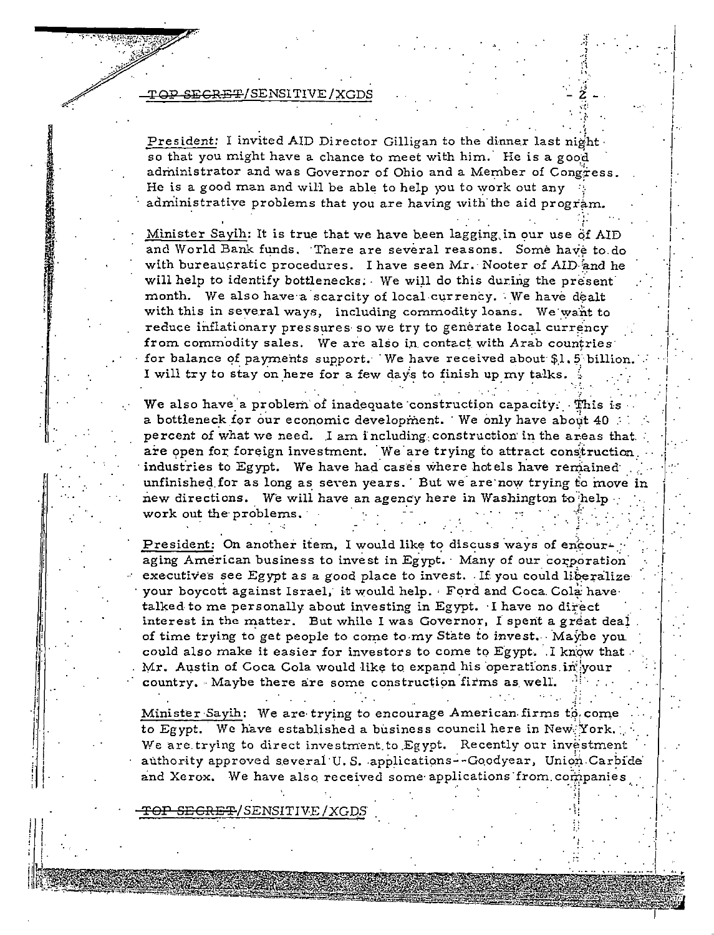T<del>OP SECRET</del>/SENSITIVE/XGDS

President: I invited AID Director Gilligan to the dinner last night so that you might have a chance to meet with him. He is a good administrator and was Governor of Ohio and a Member of Congress. He is a good man and will be able to help you to work out any administrative problems that you are having with the aid program.

Minister Sayih: It is true that we have been lagging in our use of AID and World Bank funds. There are several reasons. Some have to do with bureaucratic procedures. I have seen Mr. Nooter of AID and he will help to identify bottlenecks. We will do this during the present month. We also have a scarcity of local currency. We have dealt with this in several ways, including commodity loans. We want to reduce inflationary pressures so we try to generate local currency from commodity sales. We are also in contact with Arab countries for balance of payments support. We have received about \$1.5 billion. I will try to stay on here for a few days to finish up my talks.

We also have a problem of inadequate construction capacity: : This is a bottleneck for our economic development. We only have about 40 percent of what we need. I am including construction in the areas that. are open for foreign investment. We are trying to attract construction industries to Egypt. We have had cases where hotels have remained unfinished for as long as seven years. But we are now trying to move in new directions. We will have an agency here in Washington to help. work out the problems.

President: On another item, I would like to discuss ways of encouraging American business to invest in Egypt. Many of our corporation executives see Egypt as a good place to invest. If you could liberalize your boycott against Israel, it would help. Ford and Coca Cola have talked to me personally about investing in Egypt. I have no direct interest in the matter. But while I was Governor, I spent a great deal of time trying to get people to come to my State to invest. Maybe you could also make it easier for investors to come to Egypt. I know that Mr. Austin of Coca Cola would like to expand his operations in your country. Maybe there are some construction firms as well.

Minister Sayih: We are trying to encourage American firms to come to Egypt. We have established a business council here in New York. We are trying to direct investment to Egypt. Recently our investment authority approved several U.S. applications--Goodyear, Union Carbide and Xerox. We have also received some applications from companies

SECRET/SENSITIVE/XGDS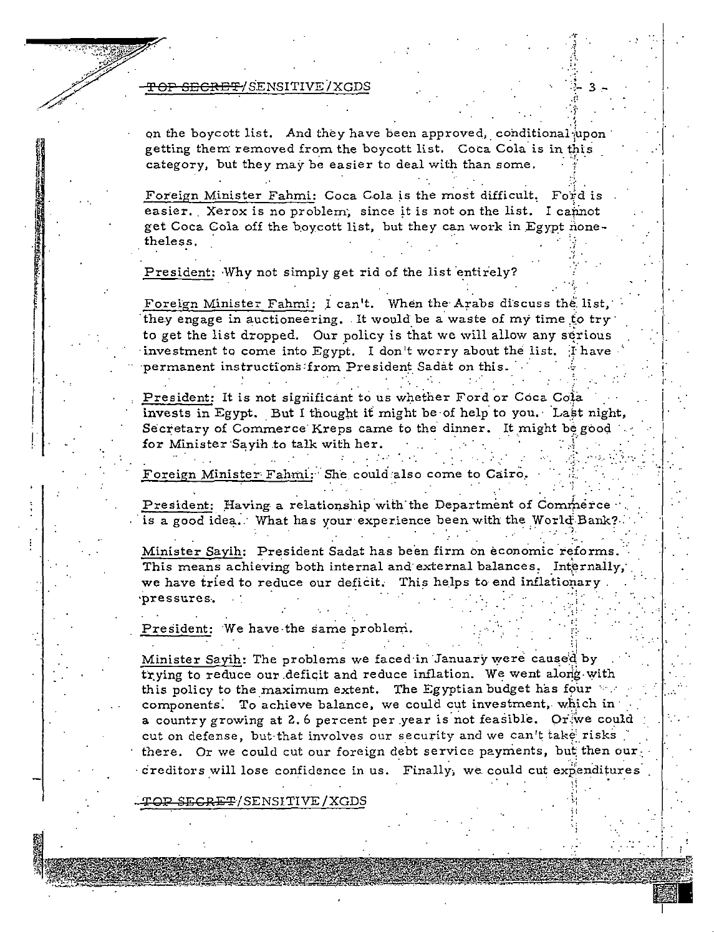## <del>OP SECRET/</del>SENSITIVE/XGDS

on the boycott list. And they have been approved, conditional upon getting them removed from the boycott list. Coca Cola is in this category, but they may be easier to deal with than some.

Foreign Minister Fahmi: Coca Cola is the most difficult. Ford is easier. Xerox is no problem; since it is not on the list. I cannot get Coca Cola off the boycott list, but they can work in Egypt nonetheless.

# President: Why not simply get rid of the list entirely?

Foreign Minister Fahmi: I can't. When the Arabs discuss the list, they engage in auctioneering. It would be a waste of my time to try to get the list dropped. Our policy is that we will allow any serious investment to come into Egypt. I don't worry about the list. I have permanent instructions from President Sadat on this.

President: It is not significant to us whether Ford or Coca Cola invests in Egypt. But I thought it might be of help to you. Last night, Secretary of Commerce Kreps came to the dinner. It might be good for Minister Sayih to talk with her.

Foreign Minister Fahmi: She could also come to Cairo.

President: Having a relationship with the Department of Commerce is a good idea. What has your experience been with the World Bank?

Minister Sayih: President Sadat has been firm on economic reforms. This means achieving both internal and external balances. Internally, we have tried to reduce our deficit. This helps to end inflationary. pressures.

President: We have the same problem.

Minister Sayih: The problems we faced in January were caused by trying to reduce our deficit and reduce inflation. We went along with this policy to the maximum extent. The Egyptian budget has four  $\sim$ components. To achieve balance, we could cut investment, which in a country growing at 2.6 percent per year is not feasible. Or we could cut on defense, but that involves our security and we can't take risks. there. Or we could cut our foreign debt service payments, but then our creditors will lose confidence in us. Finally, we could cut expenditures

<del>OP SECRET</del>/SENSITIVE/XGDS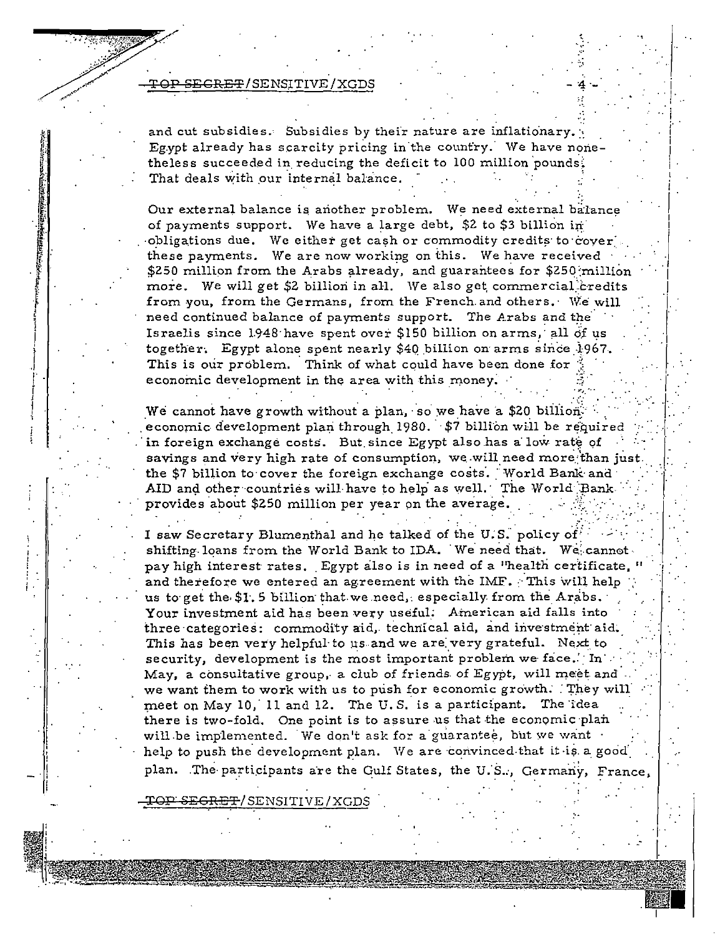### SEGRET/SENSITIVE/XGDS

and cut subsidies. Subsidies by their nature are inflationary. Egypt already has scarcity pricing in the country. We have nonetheless succeeded in reducing the deficit to 100 million pounds: That deals with our internal balance.

Our external balance is another problem. We need external balance of payments support. We have a large debt, \$2 to \$3 billion in obligations due. We either get cash or commodity credits to cover. these payments. We are now working on this. We have received \$250 million from the Arabs already, and guarantees for \$250 million more. We will get \$2 billion in all. We also get commercial credits from you, from the Germans, from the French and others. We will need continued balance of payments support. The Arabs and the Israelis since 1948 have spent over \$150 billion on arms, all of us together. Egypt alone spent nearly \$40 billion on arms since 1967. This is our problem. Think of what could have been done for economic development in the area with this money.

We cannot have growth without a plan, so we have a \$20 billion. economic development plan through 1980. \$7 billion will be required in foreign exchange costs. But since Egypt also has a low rate of savings and very high rate of consumption, we will need more than just. the \$7 billion to cover the foreign exchange costs. World Bank and AID and other countries will have to help as well. The World Bank. provides about \$250 million per year on the average.

I saw Secretary Blumenthal and he talked of the U.S. policy of shifting loans from the World Bank to IDA. We need that. We cannot. pay high interest rates. Egypt also is in need of a "health certificate, ' and therefore we entered an agreement with the IMF. This will help us to get the \$1.5 billion that we need, especially from the Arabs. Your investment aid has been very useful. American aid falls into three categories: commodity aid, technical aid, and investment aid. This has been very helpful to us and we are very grateful. Next to security, development is the most important problem we face.  $\lceil \ln \rceil$ May, a consultative group, a club of friends of Egypt, will meet and we want them to work with us to push for economic growth. They will meet on May 10, 11 and 12. The U.S. is a participant. The idea there is two-fold. One point is to assure us that the economic plan will be implemented. We don't ask for a guarantee, but we want help to push the development plan. We are convinced that it is a good plan. The participants are the Gulf States, the U.S., Germany, France,

P<del>P SEGRET</del>/SENSITIVE/XGDS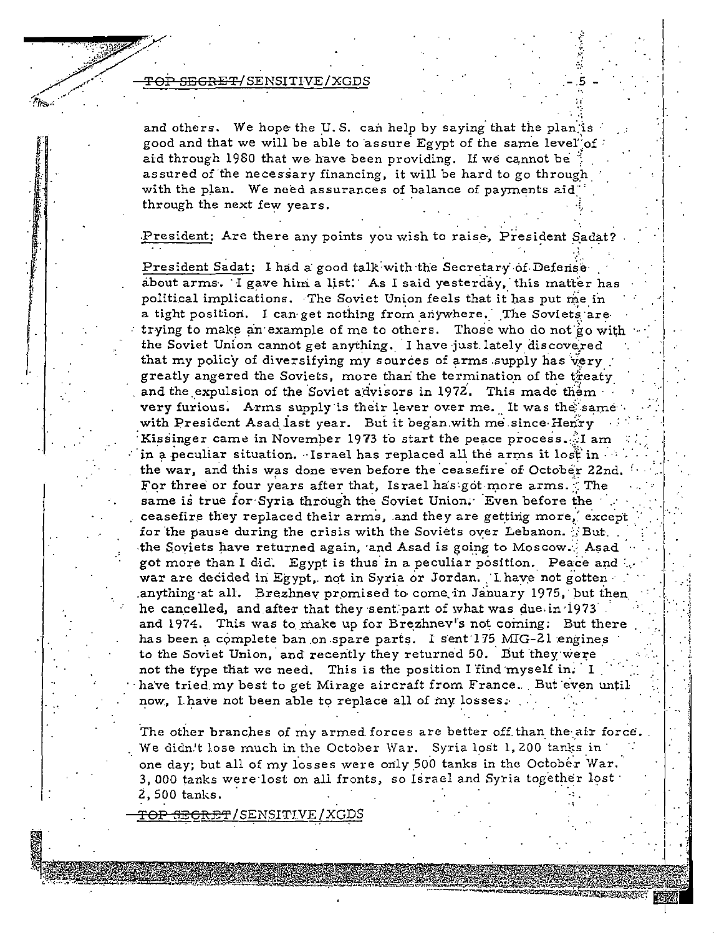#### <del>FOP SEGRET/</del>SENSITIVE/XGDS

and others. We hope the U.S. can help by saying that the plan is good and that we will be able to assure Egypt of the same level of  $\colon$ aid through 1980 that we have been providing. If we cannot be assured of the necessary financing, it will be hard to go through with the plan. We need assurances of balance of payments aid" through the next few years.

President: Are there any points you wish to raise, President Sadat?

President Sadat: I had a good talk with the Secretary of Defense about arms. I gave him a list. As I said yesterday, this matter has political implications. The Soviet Union feels that it has put me in a tight position. I can get nothing from anywhere. The Soviets are trying to make an example of me to others. Those who do not go with the Soviet Union cannot get anything. I have just lately discovered that my policy of diversifying my sources of arms supply has very greatly angered the Soviets, more than the termination of the treaty and the expulsion of the Soviet advisors in 1972. This made them very furious. Arms supply is their lever over me. It was the same with President Asad last year. But it began with me since Henry Kissinger came in November 1973 to start the peace process. I am in a peculiar situation. Israel has replaced all the arms it lost in  $\cdots$ the war, and this was done even before the ceasefire of October 22nd. For three or four years after that, Israel has got more arms. The same is true for Syria through the Soviet Union. Even before the ceasefire they replaced their arms, and they are getting more, except for the pause during the crisis with the Soviets over Lebanon. But. the Soviets have returned again, and Asad is going to Moscow. Asad got more than I did. Egypt is thus in a peculiar position. Peace and war are decided in Egypt, not in Syria or Jordan. I have not gotten anything at all. Brezhnev promised to come in January 1975, but then he cancelled, and after that they sent part of what was due in 1973. and 1974. This was to make up for Brezhnev's not coming: But there has been a complete ban on spare parts. I sent 175 MIG-21 engines to the Soviet Union, and recently they returned 50. But they were not the type that we need. This is the position I find myself in. I have tried my best to get Mirage aircraft from France. But even until now, I have not been able to replace all of my losses.

The other branches of my armed forces are better off than the air force. We didn't lose much in the October War. Syria lost 1, 200 tanks in one day; but all of my losses were only 500 tanks in the October War. 3,000 tanks were lost on all fronts, so Israel and Syria together lost 2,500 tanks.

<del>OP SECRET</del>/SENSITIVE/XGDS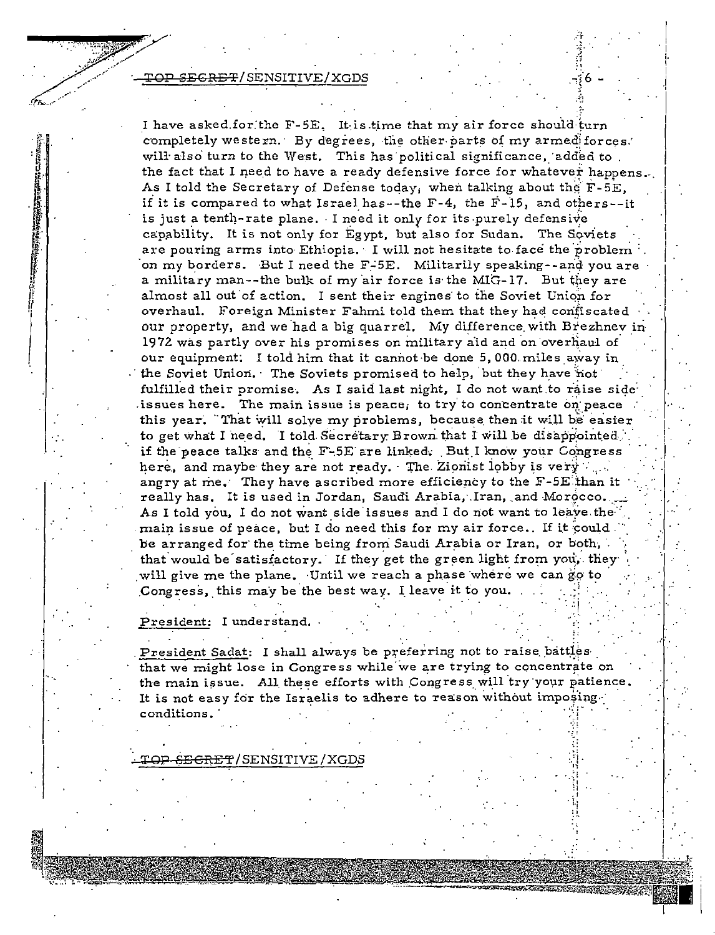I have asked for the F-5E. It is time that my air force should turn completely western. By degrees, the other parts of my armed forces. will also turn to the West. This has political significance, added to the fact that I need to have a ready defensive force for whatever happens. As I told the Secretary of Defense today, when talking about the F-5E, if it is compared to what Israel has--the F-4, the F-15, and others--it is just a tenth-rate plane. I need it only for its purely defensive capability. It is not only for Egypt, but also for Sudan. The Soviets are pouring arms into Ethiopia. I will not hesitate to face the problem on my borders. But I need the F-5E. Militarily speaking--and you are a military man--the bulk of my air force is the MIG-17. But they are almost all out of action. I sent their engines to the Soviet Union for overhaul. Foreign Minister Fahmi told them that they had confiscated our property, and we had a big quarrel. My difference with Brezhnev in 1972 was partly over his promises on military aid and on overhaul of our equipment. I told him that it cannot be done 5,000 miles away in the Soviet Union. The Soviets promised to help, but they have not fulfilled their promise. As I said last night, I do not want to raise side issues here. The main issue is peace, to try to concentrate on peace this year. That will solve my problems, because then it will be easier to get what I need. I told Secretary Brown that I will be disappointed. if the peace talks and the F-5E are linked. But I know your Congress here, and maybe they are not ready. The Zionist lobby is very angry at me. They have ascribed more efficiency to the F-5E than it really has. It is used in Jordan, Saudi Arabia, Iran, and Morocco. As I told you, I do not want side issues and I do not want to leave the main issue of peace, but I do need this for my air force. If it could be arranged for the time being from Saudi Arabia or Iran, or both, that would be satisfactory. If they get the green light from you, they will give me the plane. Until we reach a phase where we can go to Congress, this may be the best way. I leave it to you.

### President: I understand.

President Sadat: I shall always be preferring not to raise battles that we might lose in Congress while we are trying to concentrate on the main issue. All these efforts with Congress will try your patience. It is not easy for the Israelis to adhere to reason without imposing. conditions.

### <del>SECRET</del>/SENSITIVE/XGDS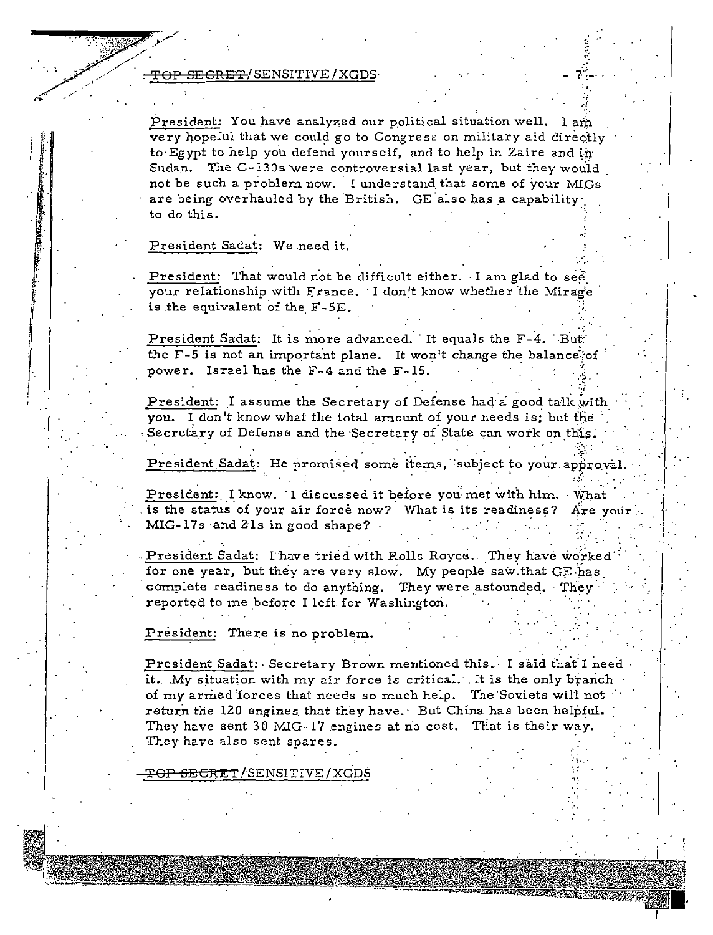#### <del>OP SECRET/</del>SENSITIVE/XGDS

President: You have analyzed our political situation well. I am very hopeful that we could go to Congress on military aid directly to Egypt to help you defend yourself, and to help in Zaire and in Sudan. The C-130s were controversial last year, but they would not be such a problem now. I understand that some of your MIGs are being overhauled by the British. GE also has a capability to do this.

### President Sadat: We need it.

President: That would not be difficult either. I am glad to see your relationship with France. I don't know whether the Mirage is the equivalent of the F-5E.

President Sadat: It is more advanced. It equals the F-4. But the F-5 is not an important plane. It won't change the balance of power. Israel has the F-4 and the F-15.

President: I assume the Secretary of Defense had a good talk with you. I don't know what the total amount of your needs is; but the Secretary of Defense and the Secretary of State can work on this.

President Sadat: He promised some items, subject to your approval.

President: I know. I discussed it before you met with him. What is the status of your air force now? What is its readiness? Are your MIG-17s and 21s in good shape?

President Sadat: I have tried with Rolls Royce. They have worked for one year, but they are very slow. My people saw that GE has complete readiness to do anything. They were astounded. They reported to me before I left for Washington.

President: There is no problem.

President Sadat: Secretary Brown mentioned this. I said that I need it. My situation with my air force is critical. It is the only branch of my armed forces that needs so much help. The Soviets will not return the 120 engines that they have. But China has been helpful. They have sent 30 MIG-17 engines at no cost. That is their way. They have also sent spares.

<del>SECRET</del>/SENSITIVE/XGDS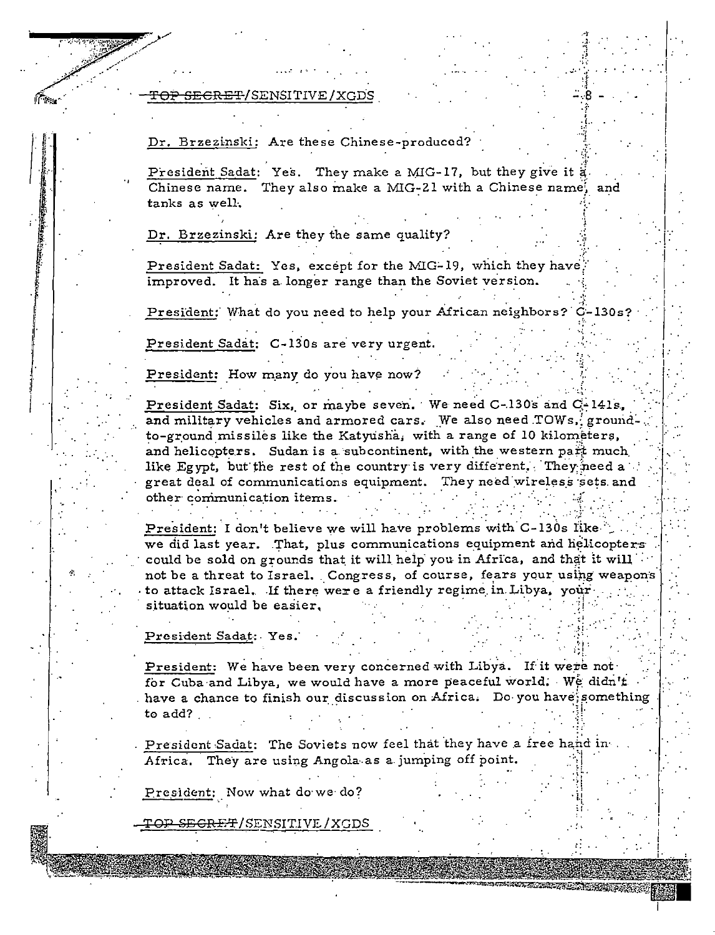<del>TOP SECRET</del>/SENSITIVE/XGDS

Dr. Brzezinski: Are these Chinese-produced?

President Sadat: Yes. They make a MIG-17, but they give it a Chinese name. They also make a MIG-21 with a Chinese name, and tanks as well.

Dr. Brzezinski: Are they the same quality?

President Sadat: Yes, except for the MIG-19, which they have improved. It has a longer range than the Soviet version.

President: What do you need to help your African neighbors? C-130s?

President Sadat: C-130s are very urgent.

President: How many do you have now?

President Sadat: Six, or maybe seven. We need C-130s and C-141s, and military vehicles and armored cars. We also need TOWs, groundto-ground missiles like the Katyusha, with a range of 10 kilometers, and helicopters. Sudan is a subcontinent, with the western part much like Egypt, but the rest of the country is very different. They need a great deal of communications equipment. They need wireless sets and other communication items.

President: I don't believe we will have problems with C-130s like we did last year. That, plus communications equipment and helicopters could be sold on grounds that it will help you in Africa, and that it will not be a threat to Israel. Congress, of course, fears your using weapons to attack Israel. If there were a friendly regime in Libya, your situation would be easier,

President Sadat: Yes.

President: We have been very concerned with Libya. If it were not for Cuba and Libya, we would have a more peaceful world. We didn't have a chance to finish our discussion on Africa. Do you have something to add?

President Sadat: The Soviets now feel that they have a free hand in. Africa. They are using Angola as a jumping off point.

President: Now what do we do?

<del>TOP SECRET</del>/SENSITIVE/XGDS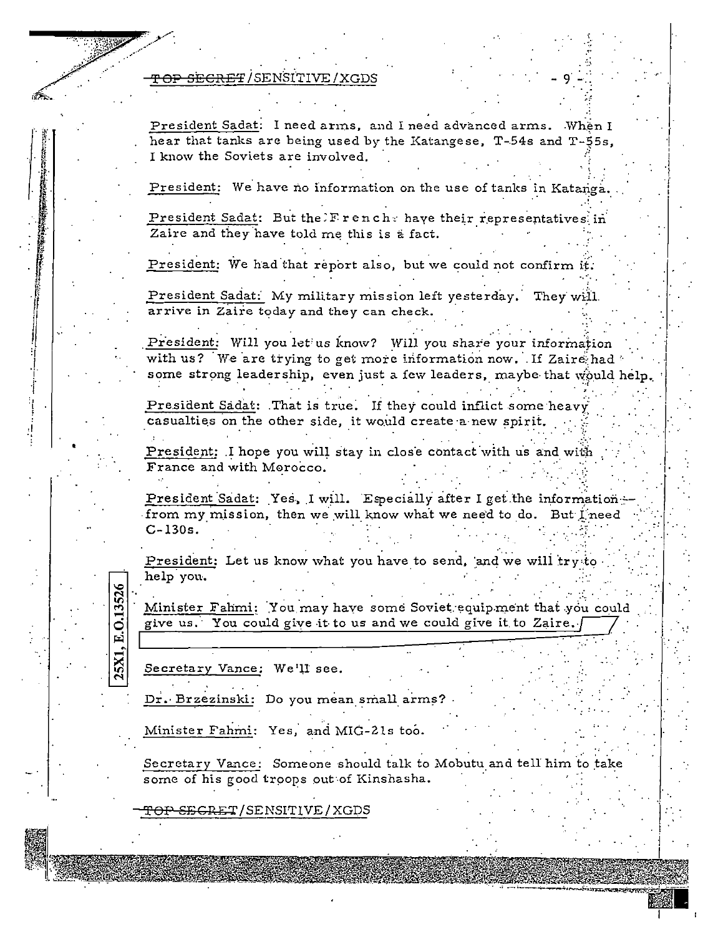# <del>OP SECRET</del>/SENSITIVE/XGDS

President Sadat: I need arms, and I need advanced arms. When I hear that tanks are being used by the Katangese, T-54s and T-55s, I know the Soviets are involved.

President: We have no information on the use of tanks in Katanga.

President Sadat: But the Frenche have their representatives in Zaire and they have told me this is a fact.

President: We had that report also, but we could not confirm it.

President Sadat: My military mission left yesterday. They will arrive in Zaire today and they can check.

President: Will you let us know? Will you share your information with us? We are trying to get more information now. If Zaire had some strong leadership, even just a few leaders, maybe that would help.

President Sadat: That is true. If they could inflict some heavy casualties on the other side, it would create a new spirit.

President: I hope you will stay in close contact with us and with France and with Morocco.

President Sadat: Yes, I will. Especially after I get the information: from my mission, then we will know what we need to do. But I need  $C-130s.$ 

President: Let us know what you have to send, and we will try to help you.

Minister Fahmi: You may have some Soviet equipment that you could give us. You could give it to us and we could give it to Zaire.

Secretary Vance: We'll see.

E.O.1352

:5X1,

Dr. Brzezinski: Do you mean small arms?

Minister Fahmi: Yes, and MIG-21s too.

Secretary Vance: Someone should talk to Mobutu and tell him to take some of his good troops out of Kinshasha.

<del>OP SECRET</del>/SENSITIVE/XGDS!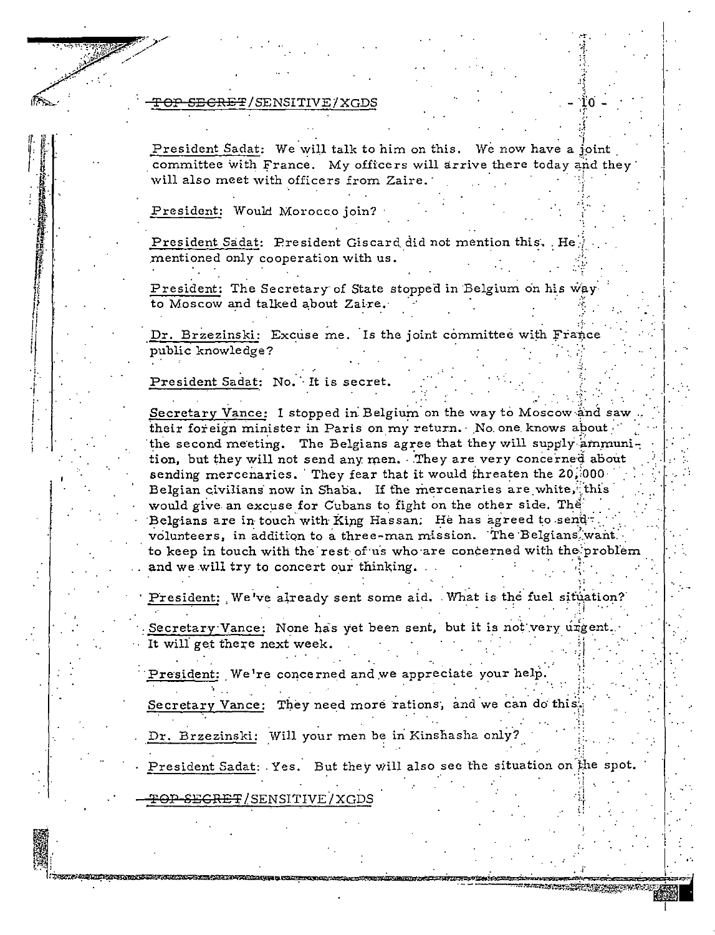### <del>SECRET</del>/SENSITIVE/XGDS

President Sadat: We will talk to him on this. We now have a joint committee with France. My officers will arrive there today and they will also meet with officers from Zaire.

President: Would Morocco join?

President Sadat: President Giscard did not mention this. He mentioned only cooperation with us.

President: The Secretary of State stopped in Belgium on his way to Moscow and talked about Zaire.

Dr. Brzezinski: Excuse me. Is the joint committee with France public knowledge?

### President Sadat: No. It is secret.

Secretary Vance: I stopped in Belgium on the way to Moscow and saw their foreign minister in Paris on my return. No one knows about the second meeting. The Belgians agree that they will supply ammunition, but they will not send any men. They are very concerned about sending mercenaries. They fear that it would threaten the 20,000. Belgian civilians now in Shaba. If the mercenaries are white, this would give an excuse for Cubans to fight on the other side. The Belgians are in touch with King Hassan. He has agreed to send: volunteers, in addition to a three-man mission. The Belgians want to keep in touch with the rest of us who are concerned with the problem and we will try to concert our thinking.

President: We've already sent some aid. What is the fuel situation?

Secretary Vance: None has yet been sent, but it is not very urgent. It will get there next week.

President: We're concerned and we appreciate your help.

Secretary Vance: They need more rations, and we can do this

Dr. Brzezinski: Will your men be in Kinshasha only?

President Sadat: Yes. But they will also see the situation on the spot.

<del>OP-SECRET</del>/SENSITIVE/XGDS

**TERANG PERSONAL**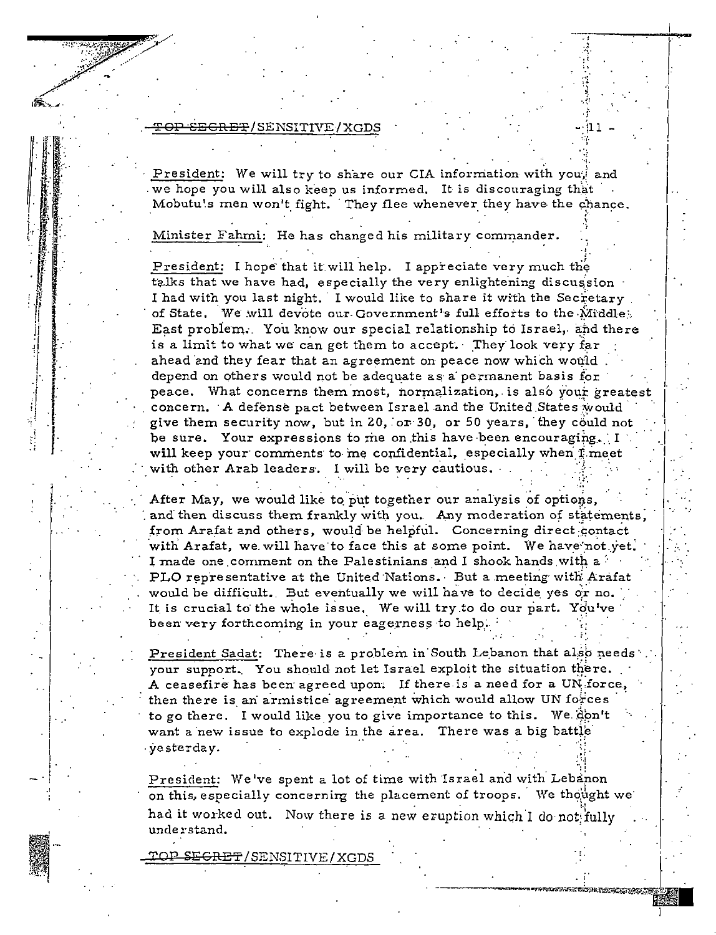<del>'OP SECRET</del>/SENSITIVE/XGI

President: We will try to share our CIA information with you; and we hope you will also keep us informed. It is discouraging that Mobutu's men won't fight. They flee whenever they have the chance.

Minister Fahmi: He has changed his military commander.

President: I hope that it will help. I appreciate very much the talks that we have had, especially the very enlightening discussion I had with you last night. I would like to share it with the Secretary of State. We will devote our Government's full efforts to the Middle: East problem. You know our special relationship to Israel, and there is a limit to what we can get them to accept. They look very far ahead and they fear that an agreement on peace now which would depend on others would not be adequate as a permanent basis for peace. What concerns them most, normalization, is also your greatest concern. A defense pact between Israel and the United States would give them security now, but in 20, or 30, or 50 years, they could not be sure. Your expressions to me on this have been encouraging. I will keep your comments to me confidential, especially when fimeet with other Arab leaders. I will be very cautious.

After May, we would like to put together our analysis of options, and then discuss them frankly with you. Any moderation of statements, from Arafat and others, would be helpful. Concerning direct contact with Arafat, we will have to face this at some point. We have not yet. I made one comment on the Palestinians and I shook hands with a  $^{\circ}$ PLO representative at the United Nations. But a meeting with Arafat would be difficult. But eventually we will have to decide yes or no. It is crucial to the whole issue. We will try to do our part. You've been very forthcoming in your eagerness to help.

President Sadat: There is a problem in South Lebanon that also needs your support. You should not let Israel exploit the situation there. A ceasefire has been agreed upon. If there is a need for a UN force, then there is an armistice agreement which would allow UN forces to go there. I would like you to give importance to this. We don't want a new issue to explode in the area. There was a big battle yesterday.

President: We've spent a lot of time with Israel and with Lebanon on this, especially concerning the placement of troops. We thought we had it worked out. Now there is a new eruption which I do not fully understand.

<del>DP\_SEGRET</del>/SENSITIVE/XGDS